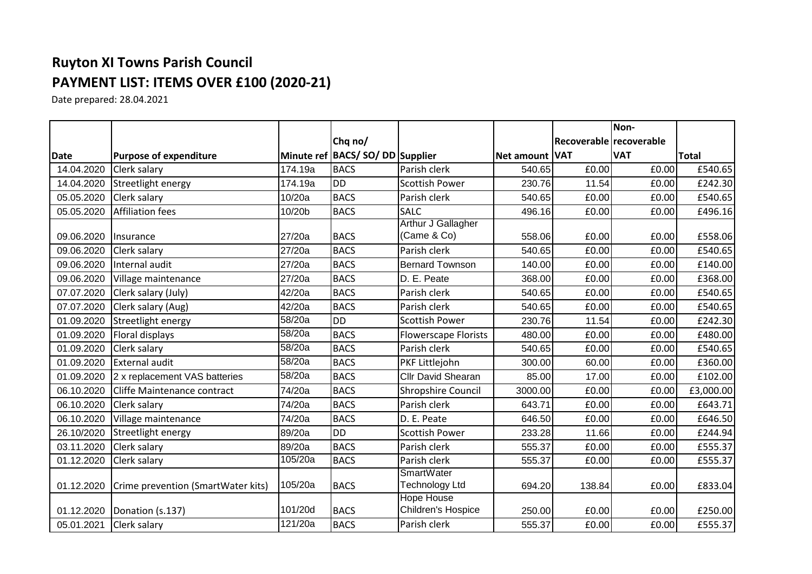## **Ruyton XI Towns Parish Council PAYMENT LIST: ITEMS OVER £100 (2020-21)**

Date prepared: 28.04.2021

|             |                                    |         |                                    |                                            |                |                         | Non-       |           |
|-------------|------------------------------------|---------|------------------------------------|--------------------------------------------|----------------|-------------------------|------------|-----------|
|             |                                    |         | Chq no/                            |                                            |                | Recoverable recoverable |            |           |
| <b>Date</b> | <b>Purpose of expenditure</b>      |         | Minute ref   BACS/SO/DD   Supplier |                                            | Net amount VAT |                         | <b>VAT</b> | Total     |
| 14.04.2020  | Clerk salary                       | 174.19a | <b>BACS</b>                        | Parish clerk                               | 540.65         | £0.00                   | £0.00      | £540.65   |
| 14.04.2020  | Streetlight energy                 | 174.19a | <b>DD</b>                          | <b>Scottish Power</b>                      | 230.76         | 11.54                   | £0.00      | £242.30   |
| 05.05.2020  | Clerk salary                       | 10/20a  | <b>BACS</b>                        | Parish clerk                               | 540.65         | £0.00                   | £0.00      | £540.65   |
| 05.05.2020  | Affiliation fees                   | 10/20b  | <b>BACS</b>                        | <b>SALC</b>                                | 496.16         | £0.00                   | £0.00      | £496.16   |
| 09.06.2020  | <b>Insurance</b>                   | 27/20a  | <b>BACS</b>                        | Arthur J Gallagher<br>(Came & Co)          | 558.06         | £0.00                   | £0.00      | £558.06   |
| 09.06.2020  | Clerk salary                       | 27/20a  | <b>BACS</b>                        | Parish clerk                               | 540.65         | £0.00                   | £0.00      | £540.65   |
| 09.06.2020  | Internal audit                     | 27/20a  | <b>BACS</b>                        | <b>Bernard Townson</b>                     | 140.00         | £0.00                   | £0.00      | £140.00   |
| 09.06.2020  | Village maintenance                | 27/20a  | <b>BACS</b>                        | D. E. Peate                                | 368.00         | £0.00                   | £0.00      | £368.00   |
| 07.07.2020  | Clerk salary (July)                | 42/20a  | <b>BACS</b>                        | Parish clerk                               | 540.65         | £0.00                   | £0.00      | £540.65   |
| 07.07.2020  | Clerk salary (Aug)                 | 42/20a  | <b>BACS</b>                        | Parish clerk                               | 540.65         | £0.00                   | £0.00      | £540.65   |
| 01.09.2020  | Streetlight energy                 | 58/20a  | <b>DD</b>                          | <b>Scottish Power</b>                      | 230.76         | 11.54                   | £0.00      | £242.30   |
| 01.09.2020  | Floral displays                    | 58/20a  | <b>BACS</b>                        | <b>Flowerscape Florists</b>                | 480.00         | £0.00                   | £0.00      | £480.00   |
| 01.09.2020  | Clerk salary                       | 58/20a  | <b>BACS</b>                        | Parish clerk                               | 540.65         | £0.00                   | £0.00      | £540.65   |
| 01.09.2020  | <b>External audit</b>              | 58/20a  | <b>BACS</b>                        | PKF Littlejohn                             | 300.00         | 60.00                   | £0.00      | £360.00   |
| 01.09.2020  | 2 x replacement VAS batteries      | 58/20a  | <b>BACS</b>                        | <b>Cllr David Shearan</b>                  | 85.00          | 17.00                   | £0.00      | £102.00   |
| 06.10.2020  | Cliffe Maintenance contract        | 74/20a  | <b>BACS</b>                        | Shropshire Council                         | 3000.00        | £0.00                   | £0.00      | £3,000.00 |
| 06.10.2020  | Clerk salary                       | 74/20a  | <b>BACS</b>                        | Parish clerk                               | 643.71         | £0.00                   | £0.00      | £643.71   |
| 06.10.2020  | Village maintenance                | 74/20a  | <b>BACS</b>                        | D. E. Peate                                | 646.50         | £0.00                   | £0.00      | £646.50   |
| 26.10/2020  | Streetlight energy                 | 89/20a  | <b>DD</b>                          | <b>Scottish Power</b>                      | 233.28         | 11.66                   | £0.00      | £244.94   |
| 03.11.2020  | Clerk salary                       | 89/20a  | <b>BACS</b>                        | Parish clerk                               | 555.37         | £0.00                   | £0.00      | £555.37   |
| 01.12.2020  | Clerk salary                       | 105/20a | <b>BACS</b>                        | Parish clerk                               | 555.37         | £0.00                   | £0.00      | £555.37   |
| 01.12.2020  | Crime prevention (SmartWater kits) | 105/20a | <b>BACS</b>                        | <b>SmartWater</b><br><b>Technology Ltd</b> | 694.20         | 138.84                  | £0.00      | £833.04   |
| 01.12.2020  | Donation (s.137)                   | 101/20d | <b>BACS</b>                        | <b>Hope House</b><br>Children's Hospice    | 250.00         | E0.00                   | £0.00      | £250.00   |
| 05.01.2021  | Clerk salary                       | 121/20a | <b>BACS</b>                        | Parish clerk                               | 555.37         | £0.00                   | £0.00      | £555.37   |